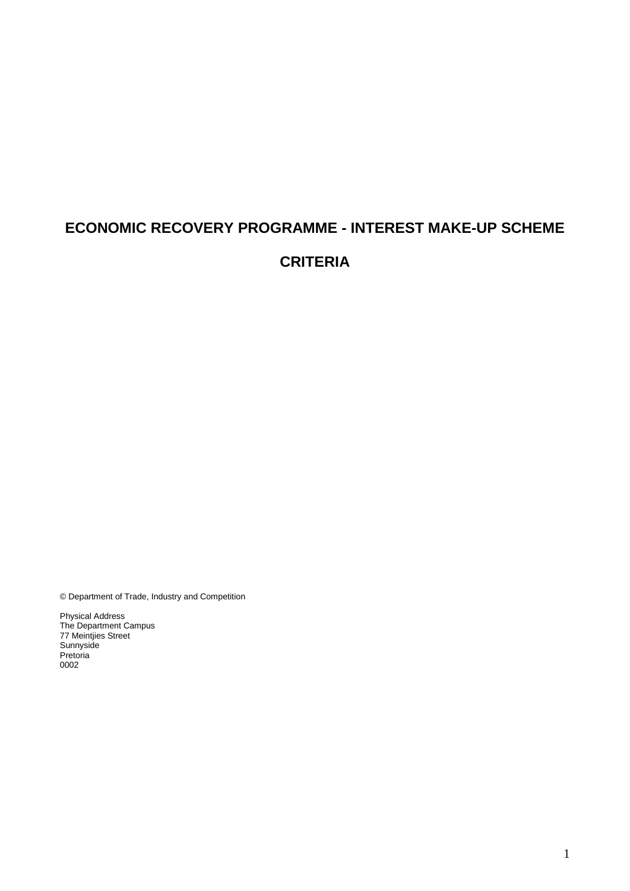# **ECONOMIC RECOVERY PROGRAMME - INTEREST MAKE-UP SCHEME CRITERIA**

© Department of Trade, Industry and Competition

Physical Address The Department Campus 77 Meintjies Street Sunnyside Pretoria 0002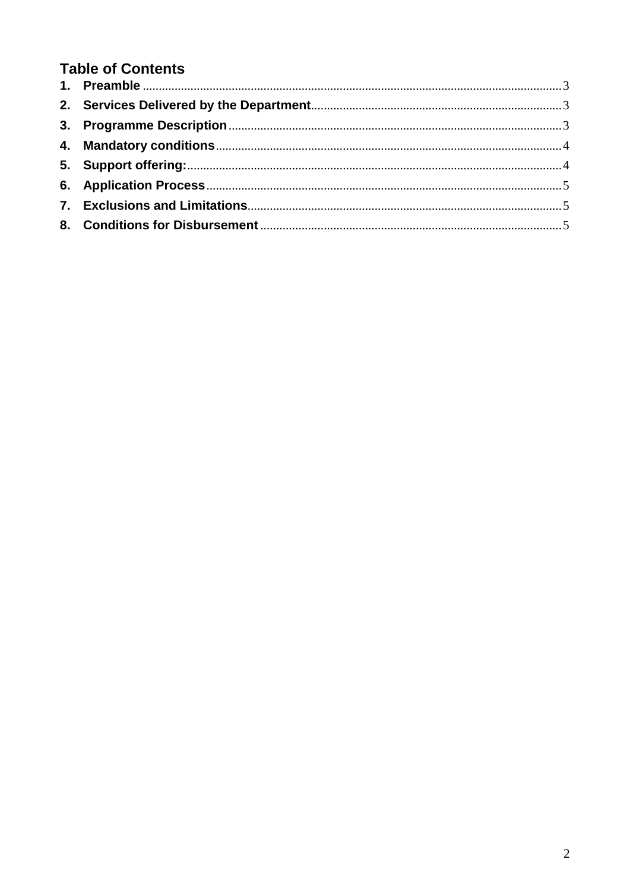# **Table of Contents**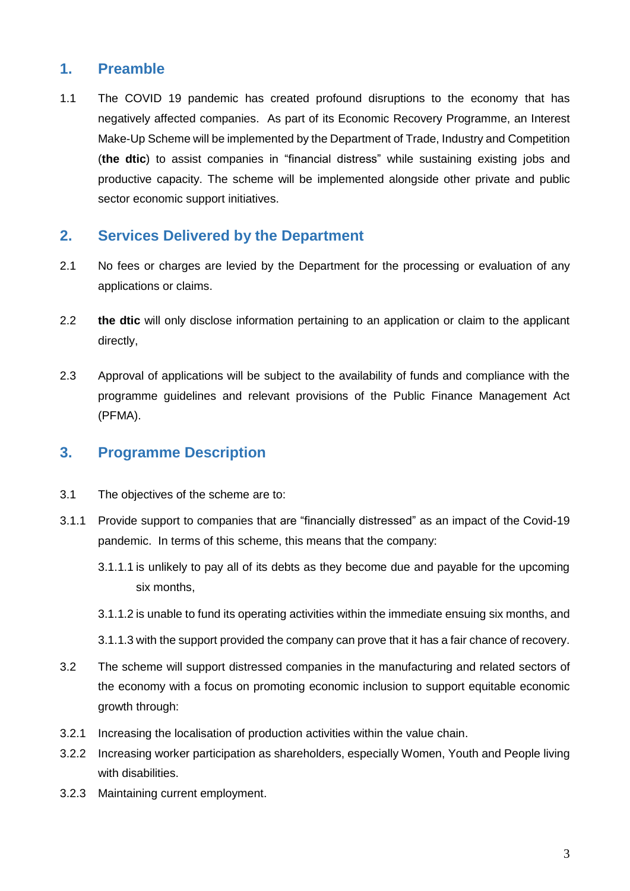# <span id="page-2-0"></span>**1. Preamble**

1.1 The COVID 19 pandemic has created profound disruptions to the economy that has negatively affected companies. As part of its Economic Recovery Programme, an Interest Make-Up Scheme will be implemented by the Department of Trade, Industry and Competition (**the dtic**) to assist companies in "financial distress" while sustaining existing jobs and productive capacity. The scheme will be implemented alongside other private and public sector economic support initiatives.

# <span id="page-2-1"></span>**2. Services Delivered by the Department**

- 2.1 No fees or charges are levied by the Department for the processing or evaluation of any applications or claims.
- 2.2 **the dtic** will only disclose information pertaining to an application or claim to the applicant directly,
- 2.3 Approval of applications will be subject to the availability of funds and compliance with the programme guidelines and relevant provisions of the Public Finance Management Act (PFMA).

#### <span id="page-2-2"></span>**3. Programme Description**

- 3.1 The objectives of the scheme are to:
- 3.1.1 Provide support to companies that are "financially distressed" as an impact of the Covid-19 pandemic. In terms of this scheme, this means that the company:
	- 3.1.1.1 is unlikely to pay all of its debts as they become due and payable for the upcoming six months,
	- 3.1.1.2 is unable to fund its operating activities within the immediate ensuing six months, and
	- 3.1.1.3 with the support provided the company can prove that it has a fair chance of recovery.
- 3.2 The scheme will support distressed companies in the manufacturing and related sectors of the economy with a focus on promoting economic inclusion to support equitable economic growth through:
- 3.2.1 Increasing the localisation of production activities within the value chain.
- 3.2.2 Increasing worker participation as shareholders, especially Women, Youth and People living with disabilities.
- 3.2.3 Maintaining current employment.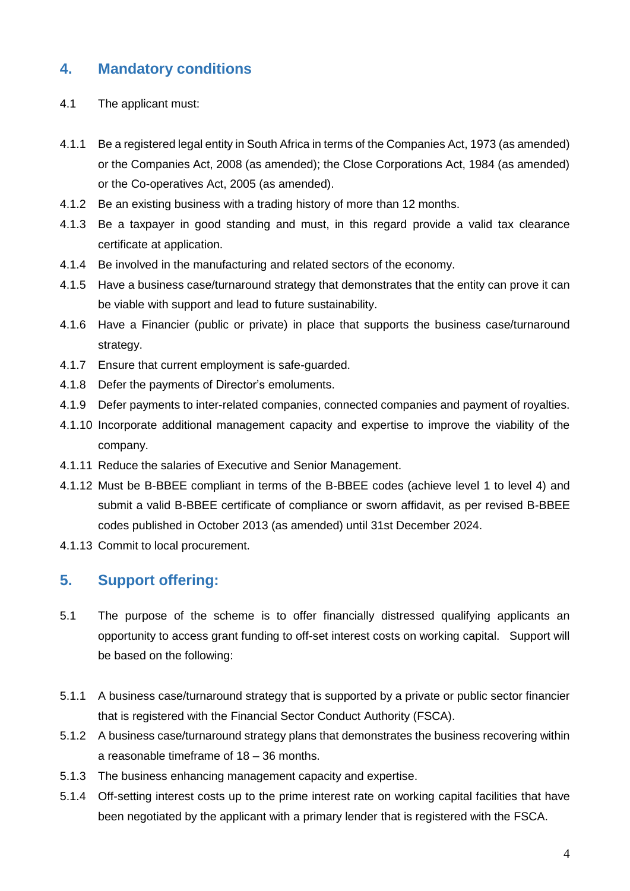# <span id="page-3-0"></span>**4. Mandatory conditions**

- 4.1 The applicant must:
- 4.1.1 Be a registered legal entity in South Africa in terms of the Companies Act, 1973 (as amended) or the Companies Act, 2008 (as amended); the Close Corporations Act, 1984 (as amended) or the Co-operatives Act, 2005 (as amended).
- 4.1.2 Be an existing business with a trading history of more than 12 months.
- 4.1.3 Be a taxpayer in good standing and must, in this regard provide a valid tax clearance certificate at application.
- 4.1.4 Be involved in the manufacturing and related sectors of the economy.
- 4.1.5 Have a business case/turnaround strategy that demonstrates that the entity can prove it can be viable with support and lead to future sustainability.
- 4.1.6 Have a Financier (public or private) in place that supports the business case/turnaround strategy.
- 4.1.7 Ensure that current employment is safe-guarded.
- 4.1.8 Defer the payments of Director's emoluments.
- 4.1.9 Defer payments to inter-related companies, connected companies and payment of royalties.
- 4.1.10 Incorporate additional management capacity and expertise to improve the viability of the company.
- 4.1.11 Reduce the salaries of Executive and Senior Management.
- 4.1.12 Must be B-BBEE compliant in terms of the B-BBEE codes (achieve level 1 to level 4) and submit a valid B-BBEE certificate of compliance or sworn affidavit, as per revised B-BBEE codes published in October 2013 (as amended) until 31st December 2024.
- 4.1.13 Commit to local procurement.

#### <span id="page-3-1"></span>**5. Support offering:**

- 5.1 The purpose of the scheme is to offer financially distressed qualifying applicants an opportunity to access grant funding to off-set interest costs on working capital. Support will be based on the following:
- 5.1.1 A business case/turnaround strategy that is supported by a private or public sector financier that is registered with the Financial Sector Conduct Authority (FSCA).
- 5.1.2 A business case/turnaround strategy plans that demonstrates the business recovering within a reasonable timeframe of 18 – 36 months.
- 5.1.3 The business enhancing management capacity and expertise.
- 5.1.4 Off-setting interest costs up to the prime interest rate on working capital facilities that have been negotiated by the applicant with a primary lender that is registered with the FSCA.